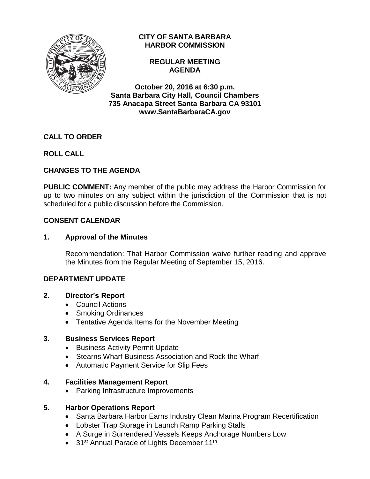

## **CITY OF SANTA BARBARA HARBOR COMMISSION**

#### **REGULAR MEETING AGENDA**

**October 20, 2016 at 6:30 p.m. Santa Barbara City Hall, Council Chambers 735 Anacapa Street Santa Barbara CA 93101 www.SantaBarbaraCA.gov**

# **CALL TO ORDER**

# **ROLL CALL**

# **CHANGES TO THE AGENDA**

**PUBLIC COMMENT:** Any member of the public may address the Harbor Commission for up to two minutes on any subject within the jurisdiction of the Commission that is not scheduled for a public discussion before the Commission.

## **CONSENT CALENDAR**

### **1. Approval of the Minutes**

Recommendation: That Harbor Commission waive further reading and approve the Minutes from the Regular Meeting of September 15, 2016.

### **DEPARTMENT UPDATE**

### **2. Director's Report**

- Council Actions
- Smoking Ordinances
- Tentative Agenda Items for the November Meeting

### **3. Business Services Report**

- Business Activity Permit Update
- Stearns Wharf Business Association and Rock the Wharf
- Automatic Payment Service for Slip Fees

### **4. Facilities Management Report**

• Parking Infrastructure Improvements

## **5. Harbor Operations Report**

- Santa Barbara Harbor Earns Industry Clean Marina Program Recertification
- Lobster Trap Storage in Launch Ramp Parking Stalls
- A Surge in Surrendered Vessels Keeps Anchorage Numbers Low
- 31<sup>st</sup> Annual Parade of Lights December 11<sup>th</sup>